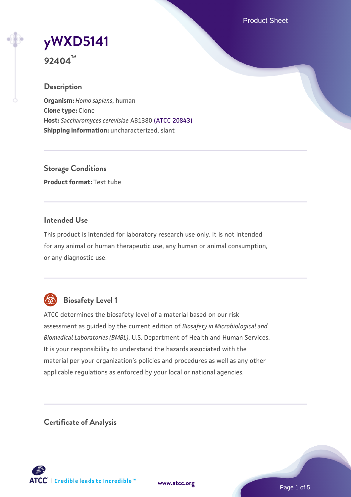Product Sheet

# **[yWXD5141](https://www.atcc.org/products/92404)**

**92404™**

## **Description**

**Organism:** *Homo sapiens*, human **Clone type:** Clone **Host:** *Saccharomyces cerevisiae* AB1380 [\(ATCC 20843\)](https://www.atcc.org/products/20843) **Shipping information:** uncharacterized, slant

**Storage Conditions Product format:** Test tube

## **Intended Use**

This product is intended for laboratory research use only. It is not intended for any animal or human therapeutic use, any human or animal consumption, or any diagnostic use.



## **Biosafety Level 1**

ATCC determines the biosafety level of a material based on our risk assessment as guided by the current edition of *Biosafety in Microbiological and Biomedical Laboratories (BMBL)*, U.S. Department of Health and Human Services. It is your responsibility to understand the hazards associated with the material per your organization's policies and procedures as well as any other applicable regulations as enforced by your local or national agencies.

**Certificate of Analysis**

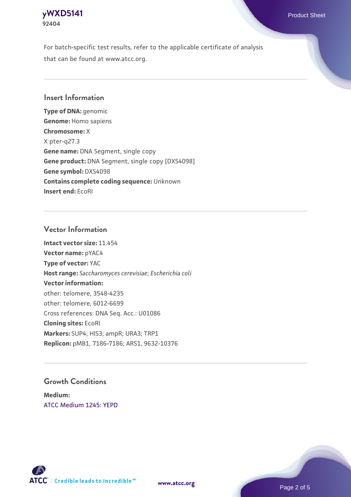## **[yWXD5141](https://www.atcc.org/products/92404)** Product Sheet **92404**

For batch-specific test results, refer to the applicable certificate of analysis that can be found at www.atcc.org.

## **Insert Information**

**Type of DNA:** genomic **Genome:** Homo sapiens **Chromosome:** X X pter-q27.3 **Gene name:** DNA Segment, single copy **Gene product:** DNA Segment, single copy [DXS4098] **Gene symbol:** DXS4098 **Contains complete coding sequence:** Unknown **Insert end:** EcoRI

## **Vector Information**

**Intact vector size:** 11.454 **Vector name:** pYAC4 **Type of vector:** YAC **Host range:** *Saccharomyces cerevisiae*; *Escherichia coli* **Vector information:** other: telomere, 3548-4235 other: telomere, 6012-6699 Cross references: DNA Seq. Acc.: U01086 **Cloning sites:** EcoRI **Markers:** SUP4; HIS3; ampR; URA3; TRP1 **Replicon:** pMB1, 7186-7186; ARS1, 9632-10376

## **Growth Conditions**

**Medium:**  [ATCC Medium 1245: YEPD](https://www.atcc.org/-/media/product-assets/documents/microbial-media-formulations/1/2/4/5/atcc-medium-1245.pdf?rev=705ca55d1b6f490a808a965d5c072196)



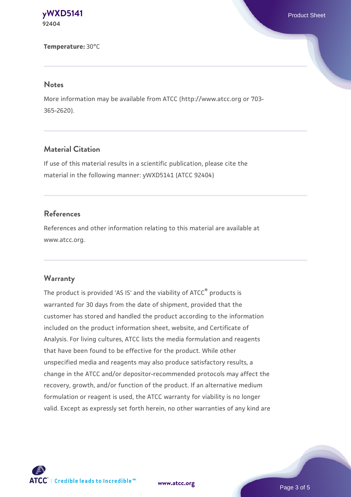**[yWXD5141](https://www.atcc.org/products/92404)** Product Sheet **92404**

**Temperature:** 30°C

#### **Notes**

More information may be available from ATCC (http://www.atcc.org or 703- 365-2620).

## **Material Citation**

If use of this material results in a scientific publication, please cite the material in the following manner: yWXD5141 (ATCC 92404)

### **References**

References and other information relating to this material are available at www.atcc.org.

#### **Warranty**

The product is provided 'AS IS' and the viability of ATCC® products is warranted for 30 days from the date of shipment, provided that the customer has stored and handled the product according to the information included on the product information sheet, website, and Certificate of Analysis. For living cultures, ATCC lists the media formulation and reagents that have been found to be effective for the product. While other unspecified media and reagents may also produce satisfactory results, a change in the ATCC and/or depositor-recommended protocols may affect the recovery, growth, and/or function of the product. If an alternative medium formulation or reagent is used, the ATCC warranty for viability is no longer valid. Except as expressly set forth herein, no other warranties of any kind are

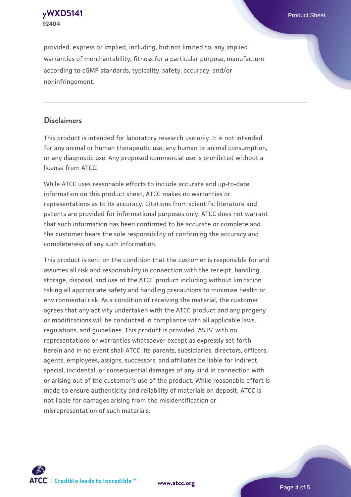**[yWXD5141](https://www.atcc.org/products/92404)** Product Sheet **92404**

provided, express or implied, including, but not limited to, any implied warranties of merchantability, fitness for a particular purpose, manufacture according to cGMP standards, typicality, safety, accuracy, and/or noninfringement.

## **Disclaimers**

This product is intended for laboratory research use only. It is not intended for any animal or human therapeutic use, any human or animal consumption, or any diagnostic use. Any proposed commercial use is prohibited without a license from ATCC.

While ATCC uses reasonable efforts to include accurate and up-to-date information on this product sheet, ATCC makes no warranties or representations as to its accuracy. Citations from scientific literature and patents are provided for informational purposes only. ATCC does not warrant that such information has been confirmed to be accurate or complete and the customer bears the sole responsibility of confirming the accuracy and completeness of any such information.

This product is sent on the condition that the customer is responsible for and assumes all risk and responsibility in connection with the receipt, handling, storage, disposal, and use of the ATCC product including without limitation taking all appropriate safety and handling precautions to minimize health or environmental risk. As a condition of receiving the material, the customer agrees that any activity undertaken with the ATCC product and any progeny or modifications will be conducted in compliance with all applicable laws, regulations, and guidelines. This product is provided 'AS IS' with no representations or warranties whatsoever except as expressly set forth herein and in no event shall ATCC, its parents, subsidiaries, directors, officers, agents, employees, assigns, successors, and affiliates be liable for indirect, special, incidental, or consequential damages of any kind in connection with or arising out of the customer's use of the product. While reasonable effort is made to ensure authenticity and reliability of materials on deposit, ATCC is not liable for damages arising from the misidentification or misrepresentation of such materials.



**[www.atcc.org](http://www.atcc.org)**

Page 4 of 5